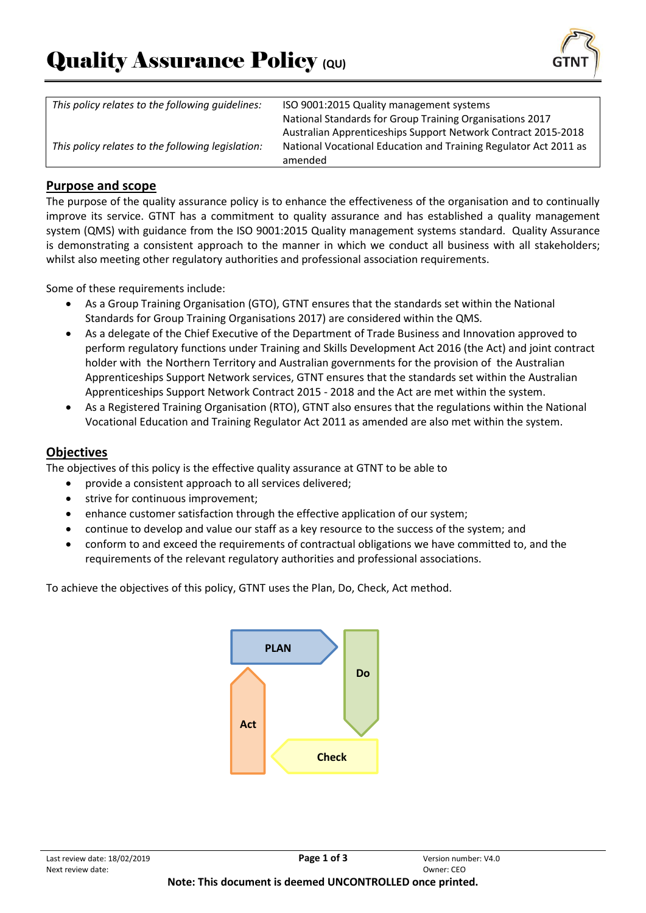

| This policy relates to the following guidelines:  | ISO 9001:2015 Quality management systems                         |
|---------------------------------------------------|------------------------------------------------------------------|
|                                                   | National Standards for Group Training Organisations 2017         |
|                                                   | Australian Apprenticeships Support Network Contract 2015-2018    |
| This policy relates to the following legislation: | National Vocational Education and Training Regulator Act 2011 as |
|                                                   | amended                                                          |

### **Purpose and scope**

The purpose of the quality assurance policy is to enhance the effectiveness of the organisation and to continually improve its service. GTNT has a commitment to quality assurance and has established a quality management system (QMS) with guidance from the ISO 9001:2015 Quality management systems standard. Quality Assurance is demonstrating a consistent approach to the manner in which we conduct all business with all stakeholders; whilst also meeting other regulatory authorities and professional association requirements.

Some of these requirements include:

- As a Group Training Organisation (GTO), GTNT ensures that the standards set within the National Standards for Group Training Organisations 2017) are considered within the QMS.
- As a delegate of the Chief Executive of the Department of Trade Business and Innovation approved to perform regulatory functions under Training and Skills Development Act 2016 (the Act) and joint contract holder with the Northern Territory and Australian governments for the provision of the Australian Apprenticeships Support Network services, GTNT ensures that the standards set within the Australian Apprenticeships Support Network Contract 2015 - 2018 and the Act are met within the system.
- As a Registered Training Organisation (RTO), GTNT also ensures that the regulations within the National Vocational Education and Training Regulator Act 2011 as amended are also met within the system.

### **Objectives**

The objectives of this policy is the effective quality assurance at GTNT to be able to

- provide a consistent approach to all services delivered;
- strive for continuous improvement;
- enhance customer satisfaction through the effective application of our system;
- continue to develop and value our staff as a key resource to the success of the system; and
- conform to and exceed the requirements of contractual obligations we have committed to, and the requirements of the relevant regulatory authorities and professional associations.

To achieve the objectives of this policy, GTNT uses the Plan, Do, Check, Act method.

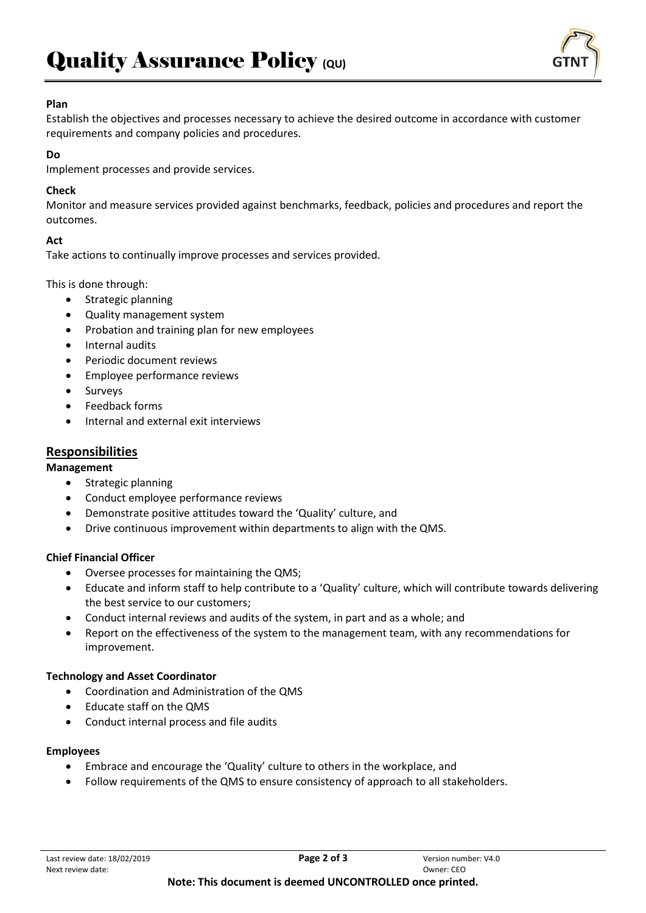

#### **Plan**

Establish the objectives and processes necessary to achieve the desired outcome in accordance with customer requirements and company policies and procedures.

#### **Do**

Implement processes and provide services.

## **Check**

Monitor and measure services provided against benchmarks, feedback, policies and procedures and report the outcomes.

## **Act**

Take actions to continually improve processes and services provided.

This is done through:

- Strategic planning
- Quality management system
- Probation and training plan for new employees
- Internal audits
- Periodic document reviews
- Employee performance reviews
- **Surveys**
- Feedback forms
- Internal and external exit interviews

# **Responsibilities**

#### **Management**

- Strategic planning
- Conduct employee performance reviews
- Demonstrate positive attitudes toward the 'Quality' culture, and
- Drive continuous improvement within departments to align with the QMS.

## **Chief Financial Officer**

- Oversee processes for maintaining the QMS;
- Educate and inform staff to help contribute to a 'Quality' culture, which will contribute towards delivering the best service to our customers;
- Conduct internal reviews and audits of the system, in part and as a whole; and
- Report on the effectiveness of the system to the management team, with any recommendations for improvement.

#### **Technology and Asset Coordinator**

- Coordination and Administration of the QMS
- Educate staff on the QMS
- Conduct internal process and file audits

#### **Employees**

- Embrace and encourage the 'Quality' culture to others in the workplace, and
- Follow requirements of the QMS to ensure consistency of approach to all stakeholders.